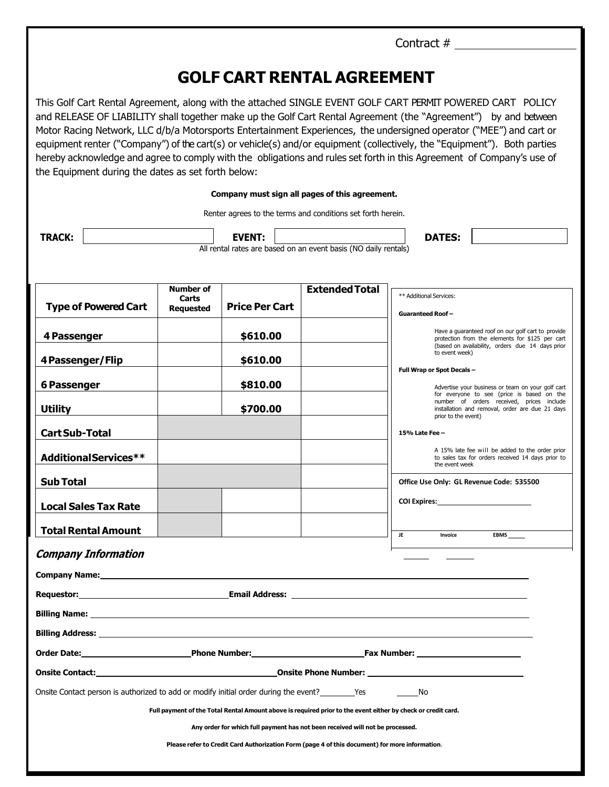|                                                                                                                                                                                                                                                                                                                                                                                                                                                                                                                                                                                                                                                                                                                                                                                                                                                                                                        |                                               |                       |                       | Contract #                                                                                                                                                                                                                           |  |
|--------------------------------------------------------------------------------------------------------------------------------------------------------------------------------------------------------------------------------------------------------------------------------------------------------------------------------------------------------------------------------------------------------------------------------------------------------------------------------------------------------------------------------------------------------------------------------------------------------------------------------------------------------------------------------------------------------------------------------------------------------------------------------------------------------------------------------------------------------------------------------------------------------|-----------------------------------------------|-----------------------|-----------------------|--------------------------------------------------------------------------------------------------------------------------------------------------------------------------------------------------------------------------------------|--|
|                                                                                                                                                                                                                                                                                                                                                                                                                                                                                                                                                                                                                                                                                                                                                                                                                                                                                                        |                                               |                       |                       |                                                                                                                                                                                                                                      |  |
| <b>GOLF CART RENTAL AGREEMENT</b>                                                                                                                                                                                                                                                                                                                                                                                                                                                                                                                                                                                                                                                                                                                                                                                                                                                                      |                                               |                       |                       |                                                                                                                                                                                                                                      |  |
| This Golf Cart Rental Agreement, along with the attached SINGLE EVENT GOLF CART PERMIT POWERED CART POLICY<br>and RELEASE OF LIABILITY shall together make up the Golf Cart Rental Agreement (the "Agreement") by and between<br>Motor Racing Network, LLC d/b/a Motorsports Entertainment Experiences, the undersigned operator ("MEE") and cart or<br>equipment renter ("Company") of the cart(s) or vehicle(s) and/or equipment (collectively, the "Equipment"). Both parties<br>hereby acknowledge and agree to comply with the obligations and rules set forth in this Agreement of Company's use of<br>the Equipment during the dates as set forth below:<br>Company must sign all pages of this agreement.<br>Renter agrees to the terms and conditions set forth herein.<br><b>TRACK:</b><br><b>DATES:</b><br><b>EVENT:</b><br>All rental rates are based on an event basis (NO daily rentals) |                                               |                       |                       |                                                                                                                                                                                                                                      |  |
|                                                                                                                                                                                                                                                                                                                                                                                                                                                                                                                                                                                                                                                                                                                                                                                                                                                                                                        |                                               |                       |                       |                                                                                                                                                                                                                                      |  |
| <b>Type of Powered Cart</b>                                                                                                                                                                                                                                                                                                                                                                                                                                                                                                                                                                                                                                                                                                                                                                                                                                                                            | <b>Number of</b><br>Carts<br><b>Requested</b> | <b>Price Per Cart</b> | <b>Extended Total</b> | ** Additional Services:<br><b>Guaranteed Roof-</b>                                                                                                                                                                                   |  |
| 4 Passenger                                                                                                                                                                                                                                                                                                                                                                                                                                                                                                                                                                                                                                                                                                                                                                                                                                                                                            |                                               | \$610.00              |                       | Have a guaranteed roof on our golf cart to provide<br>protection from the elements for \$125 per cart<br>(based on availability, orders due 14 days prior                                                                            |  |
| 4 Passenger/Flip                                                                                                                                                                                                                                                                                                                                                                                                                                                                                                                                                                                                                                                                                                                                                                                                                                                                                       |                                               | \$610.00              |                       | to event week)                                                                                                                                                                                                                       |  |
| <b>6 Passenger</b>                                                                                                                                                                                                                                                                                                                                                                                                                                                                                                                                                                                                                                                                                                                                                                                                                                                                                     |                                               | \$810.00              |                       | Full Wrap or Spot Decals -<br>Advertise your business or team on your golf cart                                                                                                                                                      |  |
| <b>Utility</b>                                                                                                                                                                                                                                                                                                                                                                                                                                                                                                                                                                                                                                                                                                                                                                                                                                                                                         |                                               | \$700.00              |                       | for everyone to see (price is based on the<br>number of orders received, prices include<br>installation and removal, order are due 21 days<br>prior to the event)                                                                    |  |
| <b>Cart Sub-Total</b>                                                                                                                                                                                                                                                                                                                                                                                                                                                                                                                                                                                                                                                                                                                                                                                                                                                                                  |                                               |                       |                       | 15% Late Fee -                                                                                                                                                                                                                       |  |
| AdditionalServices**                                                                                                                                                                                                                                                                                                                                                                                                                                                                                                                                                                                                                                                                                                                                                                                                                                                                                   |                                               |                       |                       | A 15% late fee will be added to the order prior<br>to sales tax for orders received 14 days prior to<br>the event week                                                                                                               |  |
| <b>Sub Total</b>                                                                                                                                                                                                                                                                                                                                                                                                                                                                                                                                                                                                                                                                                                                                                                                                                                                                                       |                                               |                       |                       | Office Use Only: GL Revenue Code: 535500                                                                                                                                                                                             |  |
| <b>Local Sales Tax Rate</b>                                                                                                                                                                                                                                                                                                                                                                                                                                                                                                                                                                                                                                                                                                                                                                                                                                                                            |                                               |                       |                       | COI Expires: <u>contract and contract and contract and contract and contract and contract and contract and contract and contract and contract and contract and contract and contract and contract and contract and contract and </u> |  |
| <b>Total Rental Amount</b>                                                                                                                                                                                                                                                                                                                                                                                                                                                                                                                                                                                                                                                                                                                                                                                                                                                                             |                                               |                       |                       | JE.<br>Invoice<br><b>EBMS</b>                                                                                                                                                                                                        |  |
| <b>Company Information</b>                                                                                                                                                                                                                                                                                                                                                                                                                                                                                                                                                                                                                                                                                                                                                                                                                                                                             |                                               |                       |                       |                                                                                                                                                                                                                                      |  |
|                                                                                                                                                                                                                                                                                                                                                                                                                                                                                                                                                                                                                                                                                                                                                                                                                                                                                                        |                                               |                       |                       |                                                                                                                                                                                                                                      |  |
|                                                                                                                                                                                                                                                                                                                                                                                                                                                                                                                                                                                                                                                                                                                                                                                                                                                                                                        |                                               |                       |                       |                                                                                                                                                                                                                                      |  |
|                                                                                                                                                                                                                                                                                                                                                                                                                                                                                                                                                                                                                                                                                                                                                                                                                                                                                                        |                                               |                       |                       |                                                                                                                                                                                                                                      |  |
|                                                                                                                                                                                                                                                                                                                                                                                                                                                                                                                                                                                                                                                                                                                                                                                                                                                                                                        |                                               |                       |                       |                                                                                                                                                                                                                                      |  |
|                                                                                                                                                                                                                                                                                                                                                                                                                                                                                                                                                                                                                                                                                                                                                                                                                                                                                                        |                                               |                       |                       |                                                                                                                                                                                                                                      |  |
| Onsite Contact: <u>Contact Contact Contact Contact Contact Contact Contact Contact Contact Contact Contact Contact</u>                                                                                                                                                                                                                                                                                                                                                                                                                                                                                                                                                                                                                                                                                                                                                                                 |                                               |                       |                       |                                                                                                                                                                                                                                      |  |
| Onsite Contact person is authorized to add or modify initial order during the event?<br>No                                                                                                                                                                                                                                                                                                                                                                                                                                                                                                                                                                                                                                                                                                                                                                                                             |                                               |                       |                       |                                                                                                                                                                                                                                      |  |
| Full payment of the Total Rental Amount above is required prior to the event either by check or credit card.                                                                                                                                                                                                                                                                                                                                                                                                                                                                                                                                                                                                                                                                                                                                                                                           |                                               |                       |                       |                                                                                                                                                                                                                                      |  |
| Any order for which full payment has not been received will not be processed.                                                                                                                                                                                                                                                                                                                                                                                                                                                                                                                                                                                                                                                                                                                                                                                                                          |                                               |                       |                       |                                                                                                                                                                                                                                      |  |
| Please refer to Credit Card Authorization Form (page 4 of this document) for more information.                                                                                                                                                                                                                                                                                                                                                                                                                                                                                                                                                                                                                                                                                                                                                                                                         |                                               |                       |                       |                                                                                                                                                                                                                                      |  |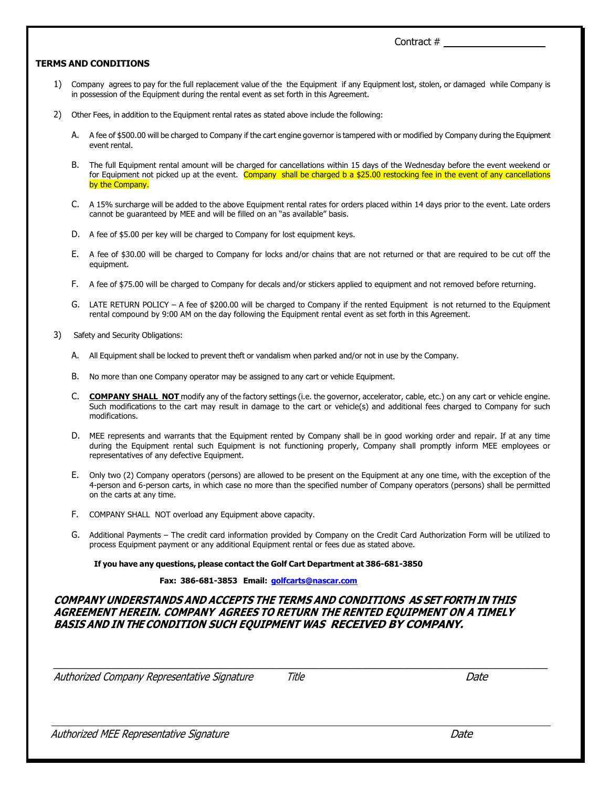#### **TERMS AND CONDITIONS**

- 1) Company agrees to pay for the full replacement value of the the Equipment if any Equipment lost, stolen, or damaged while Company is in possession of the Equipment during the rental event as set forth in this Agreement.
- 2) Other Fees, in addition to the Equipment rental rates as stated above include the following:
	- A. A fee of \$500.00 will be charged to Company if the cart engine governor is tampered with or modified by Company during the Equipment event rental.
	- B. The full Equipment rental amount will be charged for cancellations within 15 days of the Wednesday before the event weekend or for Equipment not picked up at the event. Company shall be charged b a \$25.00 restocking fee in the event of any cancellations by the Company.
	- C. A 15% surcharge will be added to the above Equipment rental rates for orders placed within 14 days prior to the event. Late orders cannot be guaranteed by MEE and will be filled on an "as available" basis.
	- D. A fee of \$5.00 per key will be charged to Company for lost equipment keys.
	- E. A fee of \$30.00 will be charged to Company for locks and/or chains that are not returned or that are required to be cut off the equipment.
	- F. A fee of \$75.00 will be charged to Company for decals and/or stickers applied to equipment and not removed before returning.
	- G. LATE RETURN POLICY A fee of \$200.00 will be charged to Company if the rented Equipment is not returned to the Equipment rental compound by 9:00 AM on the day following the Equipment rental event as set forth in this Agreement.
- 3) Safety and Security Obligations:
	- A. All Equipment shall be locked to prevent theft or vandalism when parked and/or not in use by the Company.
	- B. No more than one Company operator may be assigned to any cart or vehicle Equipment.
	- C. **COMPANY SHALL NOT** modify any of the factory settings (i.e. the governor, accelerator, cable, etc.) on any cart or vehicle engine. Such modifications to the cart may result in damage to the cart or vehicle(s) and additional fees charged to Company for such modifications.
	- D. MEE represents and warrants that the Equipment rented by Company shall be in good working order and repair. If at any time during the Equipment rental such Equipment is not functioning properly, Company shall promptly inform MEE employees or representatives of any defective Equipment.
	- E. Only two (2) Company operators (persons) are allowed to be present on the Equipment at any one time, with the exception of the 4-person and 6-person carts, in which case no more than the specified number of Company operators (persons) shall be permitted on the carts at any time.
	- F. COMPANY SHALL NOT overload any Equipment above capacity.
	- G. Additional Payments The credit card information provided by Company on the Credit Card Authorization Form will be utilized to process Equipment payment or any additional Equipment rental or fees due as stated above.

#### **If you have any questions, please contact the Golf Cart Department at 386-681-3850**

#### **Fax: 386-681-3853 Email: [golfcarts@nascar.com](mailto:golfcarts@nascar.com)**

### **COMPANY UNDERSTANDS AND ACCEPTS THE TERMS AND CONDITIONS AS SET FORTH IN THIS AGREEMENT HEREIN. COMPANY AGREES TO RETURN THE RENTED EQUIPMENT ON A TIMELY BASIS AND IN THE CONDITION SUCH EQUIPMENT WAS RECEIVED BY COMPANY.**

Authorized Company Representative Signature Title Date

\_\_\_\_\_\_\_\_\_\_\_\_\_\_\_\_\_\_\_\_\_\_\_\_\_\_\_\_\_\_\_\_\_\_\_\_\_\_\_\_\_\_\_\_\_\_\_\_\_\_\_\_\_\_\_\_\_\_\_\_\_\_\_\_\_\_\_\_\_\_\_\_\_\_\_\_\_\_\_\_\_\_\_\_\_\_\_\_\_\_\_\_\_

Authorized MEE Representative Signature Date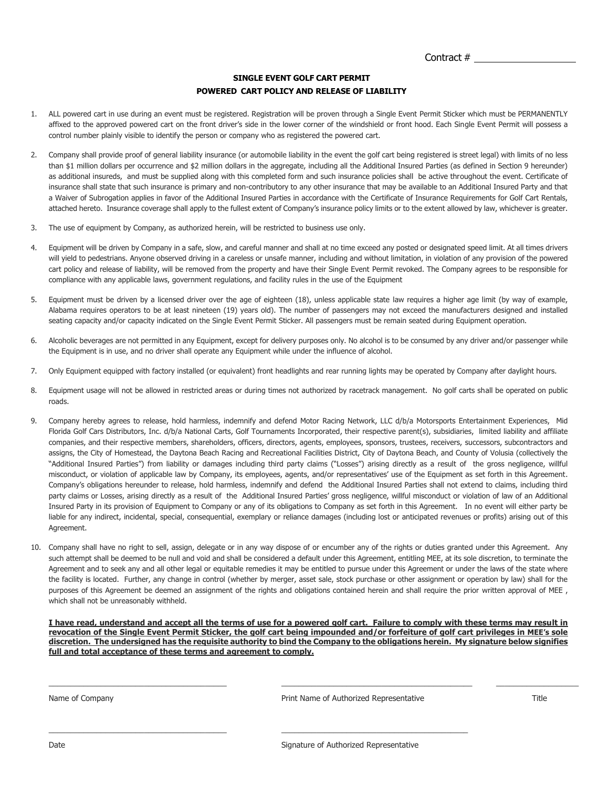#### **SINGLE EVENT GOLF CART PERMIT POWERED CART POLICY AND RELEASE OF LIABILITY**

- 1. ALL powered cart in use during an event must be registered. Registration will be proven through a Single Event Permit Sticker which must be PERMANENTLY affixed to the approved powered cart on the front driver's side in the lower corner of the windshield or front hood. Each Single Event Permit will possess a control number plainly visible to identify the person or company who as registered the powered cart.
- 2. Company shall provide proof of general liability insurance (or automobile liability in the event the golf cart being registered is street legal) with limits of no less than \$1 million dollars per occurrence and \$2 million dollars in the aggregate, including all the Additional Insured Parties (as defined in Section 9 hereunder) as additional insureds, and must be supplied along with this completed form and such insurance policies shall be active throughout the event. Certificate of insurance shall state that such insurance is primary and non-contributory to any other insurance that may be available to an Additional Insured Party and that a Waiver of Subrogation applies in favor of the Additional Insured Parties in accordance with the Certificate of Insurance Requirements for Golf Cart Rentals, attached hereto. Insurance coverage shall apply to the fullest extent of Company's insurance policy limits or to the extent allowed by law, whichever is greater.
- 3. The use of equipment by Company, as authorized herein, will be restricted to business use only.
- 4. Equipment will be driven by Company in a safe, slow, and careful manner and shall at no time exceed any posted or designated speed limit. At all times drivers will yield to pedestrians. Anyone observed driving in a careless or unsafe manner, including and without limitation, in violation of any provision of the powered cart policy and release of liability, will be removed from the property and have their Single Event Permit revoked. The Company agrees to be responsible for compliance with any applicable laws, government regulations, and facility rules in the use of the Equipment
- 5. Equipment must be driven by a licensed driver over the age of eighteen (18), unless applicable state law requires a higher age limit (by way of example, Alabama requires operators to be at least nineteen (19) years old). The number of passengers may not exceed the manufacturers designed and installed seating capacity and/or capacity indicated on the Single Event Permit Sticker. All passengers must be remain seated during Equipment operation.
- 6. Alcoholic beverages are not permitted in any Equipment, except for delivery purposes only. No alcohol is to be consumed by any driver and/or passenger while the Equipment is in use, and no driver shall operate any Equipment while under the influence of alcohol.
- 7. Only Equipment equipped with factory installed (or equivalent) front headlights and rear running lights may be operated by Company after daylight hours.
- 8. Equipment usage will not be allowed in restricted areas or during times not authorized by racetrack management. No golf carts shall be operated on public roads.
- 9. Company hereby agrees to release, hold harmless, indemnify and defend Motor Racing Network, LLC d/b/a Motorsports Entertainment Experiences, Mid Florida Golf Cars Distributors, Inc. d/b/a National Carts, Golf Tournaments Incorporated, their respective parent(s), subsidiaries, limited liability and affiliate companies, and their respective members, shareholders, officers, directors, agents, employees, sponsors, trustees, receivers, successors, subcontractors and assigns, the City of Homestead, the Daytona Beach Racing and Recreational Facilities District, City of Daytona Beach, and County of Volusia (collectively the "Additional Insured Parties") from liability or damages including third party claims ("Losses") arising directly as a result of the gross negligence, willful misconduct, or violation of applicable law by Company, its employees, agents, and/or representatives' use of the Equipment as set forth in this Agreement. Company's obligations hereunder to release, hold harmless, indemnify and defend the Additional Insured Parties shall not extend to claims, including third party claims or Losses, arising directly as a result of the Additional Insured Parties' gross negligence, willful misconduct or violation of law of an Additional Insured Party in its provision of Equipment to Company or any of its obligations to Company as set forth in this Agreement. In no event will either party be liable for any indirect, incidental, special, consequential, exemplary or reliance damages (including lost or anticipated revenues or profits) arising out of this Agreement.
- 10. Company shall have no right to sell, assign, delegate or in any way dispose of or encumber any of the rights or duties granted under this Agreement. Any such attempt shall be deemed to be null and void and shall be considered a default under this Agreement, entitling MEE, at its sole discretion, to terminate the Agreement and to seek any and all other legal or equitable remedies it may be entitled to pursue under this Agreement or under the laws of the state where the facility is located. Further, any change in control (whether by merger, asset sale, stock purchase or other assignment or operation by law) shall for the purposes of this Agreement be deemed an assignment of the rights and obligations contained herein and shall require the prior written approval of MEE, which shall not be unreasonably withheld.

**I have read, understand and accept all the terms of use for a powered golf cart. Failure to comply with these terms may result in revocation of the Single Event Permit Sticker, the golf cart being impounded and/or forfeiture of golf cart privileges in MEE's sole discretion. The undersigned has the requisite authority to bind the Company to the obligations herein. My signature below signifies full and total acceptance of these terms and agreement to comply.**

\_\_\_\_\_\_\_\_\_\_\_\_\_\_\_\_\_\_\_\_\_\_\_\_\_\_\_\_\_\_\_\_\_\_\_\_\_\_\_\_\_ \_\_\_\_\_\_\_\_\_\_\_\_\_\_\_\_\_\_\_\_\_\_\_\_\_\_\_\_\_\_\_\_\_\_\_\_\_\_\_\_\_\_\_\_ \_\_\_\_\_\_\_\_\_\_\_\_\_\_\_\_\_\_\_

 $\_$  , and the state of the state of the state of the state of the state of the state of the state of the state of the state of the state of the state of the state of the state of the state of the state of the state of the

Name of Company Title **Print Name of Authorized Representative** Title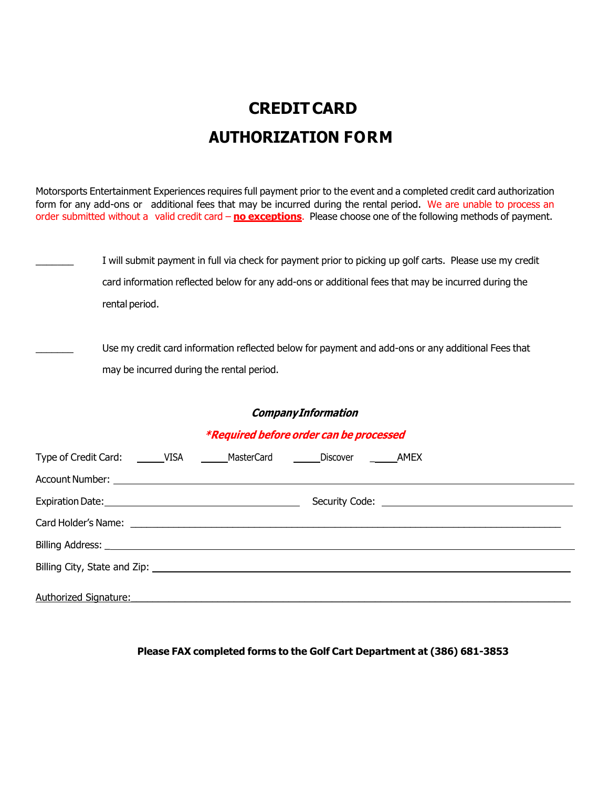# **CREDITCARD AUTHORIZATION FORM**

Motorsports Entertainment Experiences requires full payment prior to the event and a completed credit card authorization form for any add-ons or additional fees that may be incurred during the rental period. We are unable to process an order submitted without a valid credit card – **no exceptions**. Please choose one of the following methods of payment.

I will submit payment in full via check for payment prior to picking up golf carts. Please use my credit card information reflected below for any add-ons or additional fees that may be incurred during the rental period.

Use my credit card information reflected below for payment and add-ons or any additional Fees that may be incurred during the rental period.

# **CompanyInformation**

# **\*Required before order can be processed**

|                              | <b>Example 2</b> |
|------------------------------|------------------|
|                              |                  |
|                              |                  |
|                              |                  |
|                              |                  |
|                              |                  |
|                              |                  |
| <b>Authorized Signature:</b> |                  |

## **Please FAX completed forms to the Golf Cart Department at (386) 681-3853**